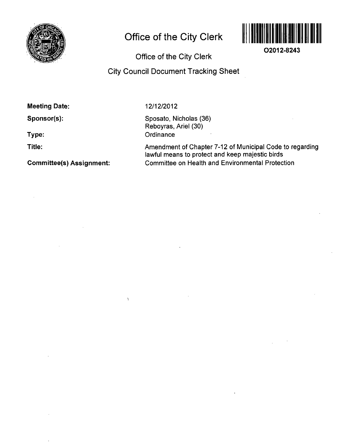

# **Office of the City Clerk**



**O2012-8243** 

**Office of the City Clerk** 

# **City Council Document Tracking Sheet**

**Meeting Date:** 

**Sponsor(s):** 

**Type:** 

**Title:** 

**Committee(s) Assignment:** 

12/12/2012

 $\Delta$ 

Sposato, Nicholas (36) Reboyras, Ariel (30) **Ordinance** 

Amendment of Chapter 7-12 of Municipal Code to regarding lawful means to protect and keep majestic birds Committee on Health and Environmental Protection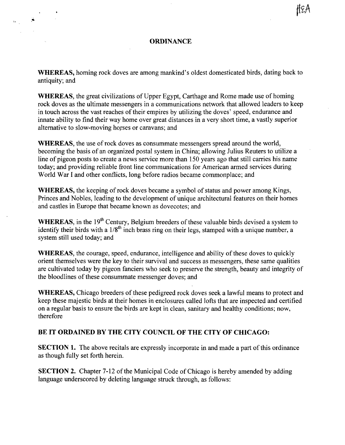#### **ORDINANCE**

WHEREAS, homing rock doves are among mankind's oldest domesticated birds, dating back to antiquity; and

WHEREAS, the great civilizations of Upper Egypt, Carthage and Rome made use of homing rock doves as the ultimate messengers in a communications network that allowed leaders to keep in touch across the vast reaches of their empires by utilizing the doves' speed, endurance and innate ability to find their way home over great distances in a very short time, a vastly superior alternative to slow-moving horses or caravans; and

WHEREAS, the use of rock doves as consummate messengers spread around the world, becoming the basis of an organized postal system in China; allowing Julius Reuters to utilize a line of pigeon posts to create a news service more than 150 years ago that still carries his name today; and providing reliable front line communications for American armed services during World War I and other conflicts, long before radios became commonplace; and

WHEREAS, the keeping of rock doves became a symbol of status and power among Kings, Princes and Nobles, leading to the development of unique architectural features on their homes and castles in Europe that became known as dovecotes; and

**WHEREAS**, in the  $19<sup>th</sup>$  Century, Belgium breeders of these valuable birds devised a system to identify their birds with a  $1/8$ <sup>th</sup> inch brass ring on their legs, stamped with a unique number, a system still used today; and

WHEREAS, the courage, speed, endurance, intelligence and ability of these doves to quickly orient themselves were the key to their survival and success as messengers, these same qualities are cultivated today by pigeon fanciers who seek to preserve the strength, beauty and integrity of the bloodlines of these consummate messenger doves; and

WHEREAS, Chicago breeders of these pedigreed rock doves seek a lawful means to protect and keep these majestic birds at their homes in enclosures called lofts that are inspected and certified on a regular basis to ensure the birds are kept in clean, sanitary and healthy conditions; now, therefore

### **BE IT ORDAINED BY THE CITY COUNCIL OF THE CITY OF CHICAGO:**

SECTION 1. The above recitals are expressly incorporate in and made a part of this ordinance as though fully set forth herein.

SECTION 2. Chapter 7-12 of the Municipal Code of Chicago is hereby amended by adding language underscored by deleting language struck through, as follows: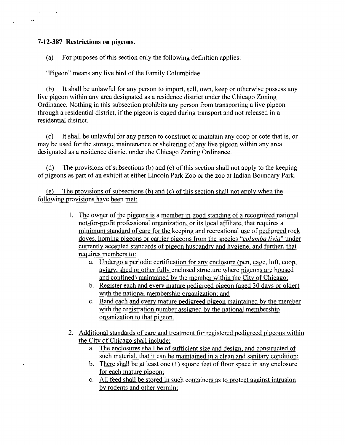## **7-12-387 Restrictions on pigeons.**

 $\ddot{\phantom{0}}$ 

(a) For purposes of this section only the following definition applies:

"Pigeon" means any live bird of the Family Columbidae.

(b) It shall be unlawful for any person to import, sell, own, keep or otherwise possess any live pigeon within any area designated as a residence district under the Chicago Zoning Ordinance. Nothing in this subsection prohibits any person from transporting a live pigeon through a residential district, if the pigeon is caged during transport and not released in a residential district.

(c) It shall be unlawful for any person to construct or maintain any coop or cote that is, or may be used for the storage, maintenance or sheltering of any live pigeon within any area designated as a residence district under the Chicago Zoning Ordinance.

(d) The provisions of subsections (b) and (c) of this section shall not apply to the keeping of pigeons as part of an exhibit at either Lincoln Park Zoo or the zoo at Indian Boundary Park.

(e) The provisions of subsections (b) and (c) of this section shall not applv when the following provisions have been met:

- 1. The owner of the pigeons is a member in good standing of a recognized national not-for-profit professional organization, or its local affiliate, that requires a minimum standard of care for the keeping and recreational use of pedigreed rock doves, homing pigeons or carrier pigeons from the species "columba livia" under currently accepted standards of pigeon husbandry and hygiene, and further, that requires members to:
	- a. Undergo a periodic certification for any enclosure (pen, cage, loft, coop, aviary, shed or other fully enclosed structure where pigeons are housed and confined) maintained by the member within the City of Chicago;
	- b. Register each and every mature pedigreed pigeon (aged 30 days or older) with the national membership organization; and
	- c. Band each and every mature pedigreed pigeon maintained by the member with the registration number assigned by the national membership organization to that pigeon.
- 2. Additional standards of care and treatment for registered pedigreed pigeons within the City of Chicago shall include:
	- a. The enclosures shall be of sufficient size and design, and constructed of such material, that it can be maintained in a clean and sanitary condition;
	- b. There shall be at least one  $(1)$  square feet of floor space in any enclosure for each mature pigeon;
	- c. All feed shall be stored in such containers as to protect against intrusion bv rodents and other vermin: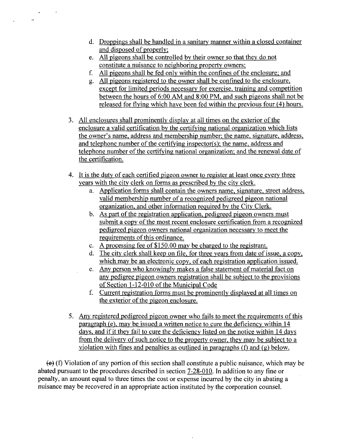- d. Droppings shall be handled in a sanitary manner within a closed container and disposed of properly:
- e. All pigeons shall be controlled by their owner so that they do not constitute a nuisance to neighboring property owners;
- f All pigeons shall be fed only within the confines of the enclosure; and
- g. All pigeons registered to the owner shall be confined to the enclosure, except for limited periods necessary for exercise, training and competition between the hours of 6:00 AM and 8:00 PM. and such pigeons shall not be released for flying which have been fed within the previous four (4) hours.
- 3. All enclosures shall prominently display at all times on the exterior of the enclosure a valid certification by the certifying national organization which lists the owner's name, address and membership number: the name, signature, address, and telephone number of the certifying inspector(s); the name, address and telephone number of the certifying national organization; and the renewal date of the certification.
- 4. It is the duty of each certified pigeon owner to register at least once every three years with the city clerk on forms as prescribed by the city clerk.
	- a. Application forms shall contain the owners name, signature, street address, valid membership number of a recognized pedigreed pigeon national organization, and other information required by the City Clerk.
	- b. As part of the registration application, pedigreed pigeon owners must submit a copy of the most recent enclosure certification from a recognized pedigreed pigeon owners national organization necessary to meet the requirements of this ordinance.
	- c. A processing fee of \$150.00 may be charged to the registrant.
	- d. The city clerk shall keep on file, for three years from date of issue, a copy, which may be an electronic copy, of each registration application issued.
	- e. Any person who knowingly makes a false statement of material fact on any pedigree pigeon owners registration shall be subject to the provisions of Section 1-12-010 of the Municipal Code
	- f. Current registration forms must be prominently displayed at all times on the exterior of the pigeon enclosure.
- 5. Any registered pedigreed pigeon owner who fails to meet the requirements of this paragraph (e). may be issued a written notice to cure the deficiency within 14 days, and if it they fail to cure the deficiency listed on the notice within 14 days from the delivery of such notice to the propertv owner, they may be subject to a violation with fines and penalties as outlined in paragraphs (f) and (g) below.

 $\leftrightarrow$  (f) Violation of any portion of this section shall constitute a public nuisance, which may be abated pursuant to the procedures described in section 7-28-010. In addition to any fine or penalty, an amount equal to three times the cost or expense incurred by the city in abating a nuisance may be recovered in an appropriate action instituted by the corporation counsel.